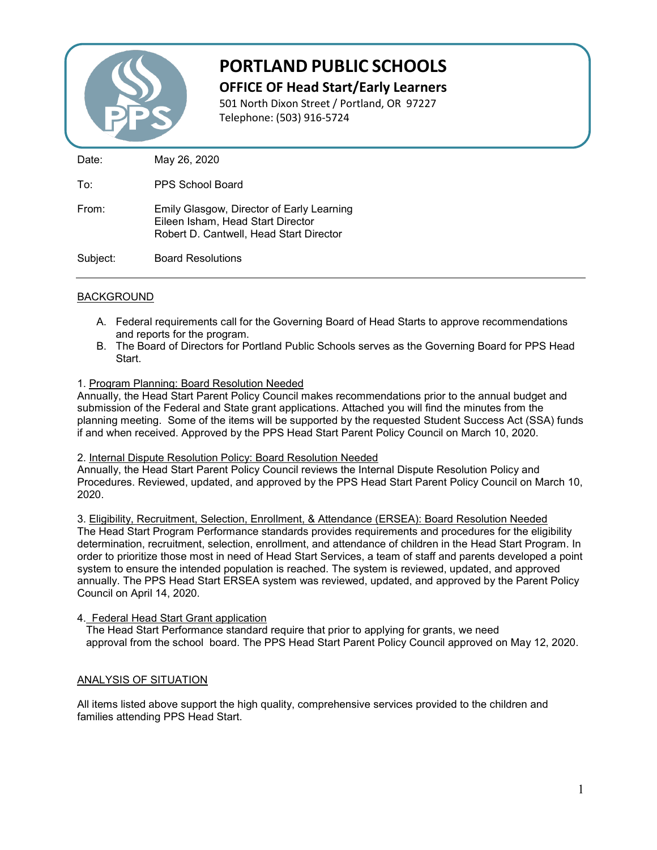

# **PORTLAND PUBLIC SCHOOLS**

**OFFICE OF Head Start/Early Learners**

501 North Dixon Street / Portland, OR 97227 Telephone: (503) 916-5724

Date: May 26, 2020

To: PPS School Board

From: Emily Glasgow, Director of Early Learning Eileen Isham, Head Start Director Robert D. Cantwell, Head Start Director

Subject: Board Resolutions

# BACKGROUND

- A. Federal requirements call for the Governing Board of Head Starts to approve recommendations and reports for the program.
- B. The Board of Directors for Portland Public Schools serves as the Governing Board for PPS Head **Start**
- 1. Program Planning: Board Resolution Needed

Annually, the Head Start Parent Policy Council makes recommendations prior to the annual budget and submission of the Federal and State grant applications. Attached you will find the minutes from the planning meeting. Some of the items will be supported by the requested Student Success Act (SSA) funds if and when received. Approved by the PPS Head Start Parent Policy Council on March 10, 2020.

## 2. Internal Dispute Resolution Policy: Board Resolution Needed

Annually, the Head Start Parent Policy Council reviews the Internal Dispute Resolution Policy and Procedures. Reviewed, updated, and approved by the PPS Head Start Parent Policy Council on March 10, 2020.

3. Eligibility, Recruitment, Selection, Enrollment, & Attendance (ERSEA): Board Resolution Needed The Head Start Program Performance standards provides requirements and procedures for the eligibility determination, recruitment, selection, enrollment, and attendance of children in the Head Start Program. In order to prioritize those most in need of Head Start Services, a team of staff and parents developed a point system to ensure the intended population is reached. The system is reviewed, updated, and approved annually. The PPS Head Start ERSEA system was reviewed, updated, and approved by the Parent Policy Council on April 14, 2020.

4. Federal Head Start Grant application

 The Head Start Performance standard require that prior to applying for grants, we need approval from the school board. The PPS Head Start Parent Policy Council approved on May 12, 2020.

# ANALYSIS OF SITUATION

All items listed above support the high quality, comprehensive services provided to the children and families attending PPS Head Start.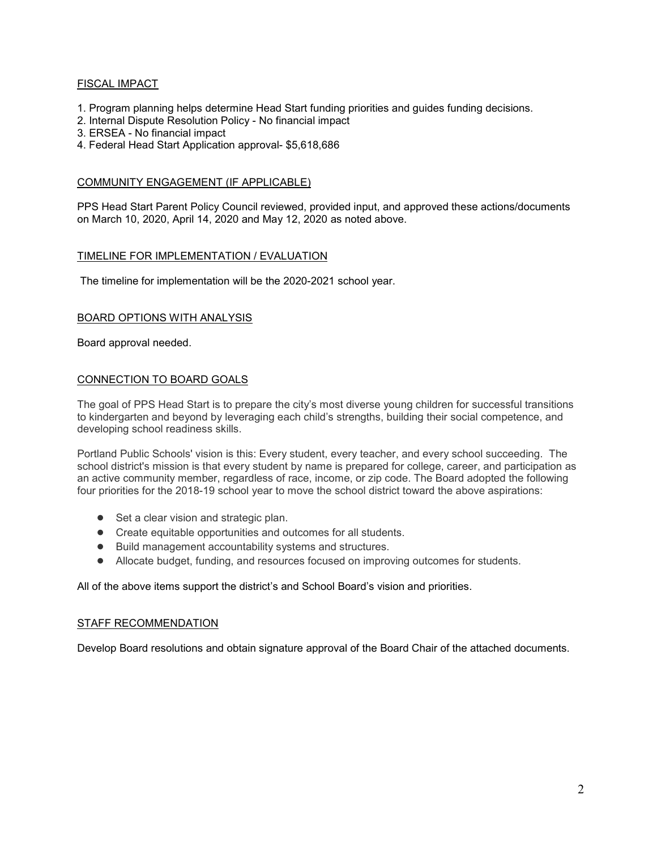## FISCAL IMPACT

- 1. Program planning helps determine Head Start funding priorities and guides funding decisions.
- 2. Internal Dispute Resolution Policy No financial impact
- 3. ERSEA No financial impact
- 4. Federal Head Start Application approval- \$5,618,686

#### COMMUNITY ENGAGEMENT (IF APPLICABLE)

PPS Head Start Parent Policy Council reviewed, provided input, and approved these actions/documents on March 10, 2020, April 14, 2020 and May 12, 2020 as noted above.

#### TIMELINE FOR IMPLEMENTATION / EVALUATION

The timeline for implementation will be the 2020-2021 school year.

#### BOARD OPTIONS WITH ANALYSIS

Board approval needed.

#### CONNECTION TO BOARD GOALS

The goal of PPS Head Start is to prepare the city's most diverse young children for successful transitions to kindergarten and beyond by leveraging each child's strengths, building their social competence, and developing school readiness skills.

Portland Public Schools' vision is this: Every student, every teacher, and every school succeeding. The school district's mission is that every student by name is prepared for college, career, and participation as an active community member, regardless of race, income, or zip code. The Board adopted the following four priorities for the 2018-19 school year to move the school district toward the above aspirations:

- Set a clear vision and strategic plan.
- Create equitable opportunities and outcomes for all students.
- Build management accountability systems and structures.
- Allocate budget, funding, and resources focused on improving outcomes for students.

#### All of the above items support the district's and School Board's vision and priorities.

#### STAFF RECOMMENDATION

Develop Board resolutions and obtain signature approval of the Board Chair of the attached documents.